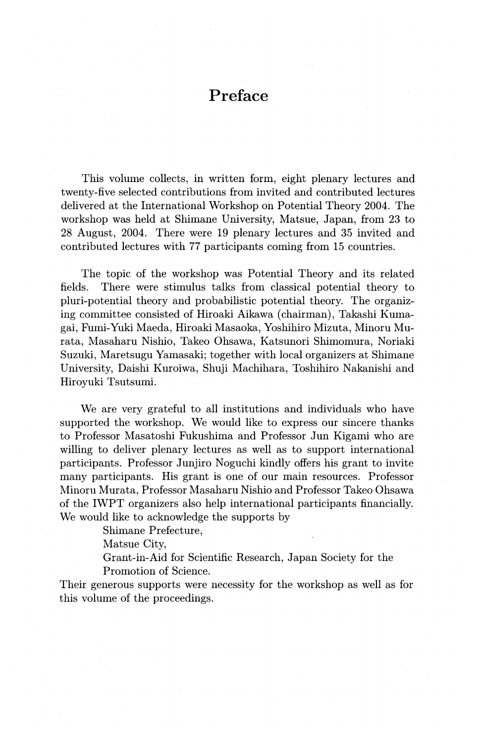## **Preface**

This volume collects, in written form, eight plenary lectures and twenty-five selected contributions from invited and contributed lectures delivered at the International Workshop on Potential Theory 2004. The workshop was held at Shimane University, Matsue, Japan, from 23 to 28 August, 2004. There were 19 plenary lectures and 35 invited and contributed lectures with 77 participants coming from 15 countries.

The topic of the workshop was Potential Theory and its related fields. There were stimulus talks from classical potential theory to pluri-potential theory and probabilistic potential theory. The organizing committee consisted of Hiroaki Aikawa (chairman), Takashi Kumagai, Fumi-Yuki Maeda, Hiroaki Masaoka, Yoshihiro Mizuta, Minoru Murata, Masaharu Nishio, Takeo Ohsawa, Katsunori Shimomura, Noriaki Suzuki, Maretsugu Yamasaki; together with local organizers at Shimane University, Daishi Kuroiwa, Shuji Machihara, Toshihiro Nakanishi and Hiroyuki Tsutsumi.

We are very grateful to all institutions and individuals who have supported the workshop. We would like to express our sincere thanks to Professor Masatoshi Fukushima and Professor Jun Kigami who are willing to deliver plenary lectures as well as to support international participants. Professor Junjiro Noguchi kindly offers his grant to invite many participants. His grant is one of our main resources. Professor Minoru Murata, Professor Masaharu Nishio and Professor Takeo Ohsawa of the IWPT organizers also help international participants financially. We would like to acknowledge the supports by

Shimane Prefecture,

Matsue City,

Grant-in-Aid for Scientific Research, Japan Society for the Promotion of Science.

Their generous supports were necessity for the workshop as well as for this volume of the proceedings.